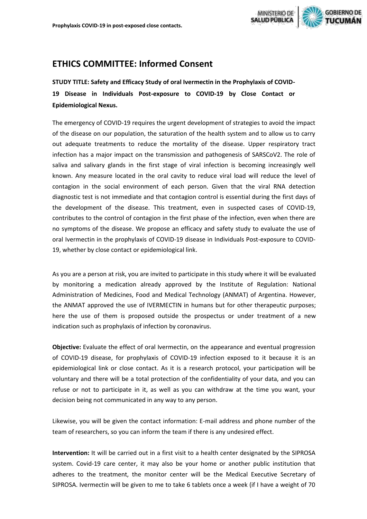

## **ETHICS COMMITTEE: Informed Consent**

**STUDY TITLE: Safety and Efficacy Study of oral Ivermectin in the Prophylaxis of COVID-19 Disease in Individuals Post-exposure to COVID-19 by Close Contact or Epidemiological Nexus.**

The emergency of COVID-19 requires the urgent development of strategies to avoid the impact of the disease on our population, the saturation of the health system and to allow us to carry out adequate treatments to reduce the mortality of the disease. Upper respiratory tract infection has a major impact on the transmission and pathogenesis of SARSCoV2. The role of saliva and salivary glands in the first stage of viral infection is becoming increasingly well known. Any measure located in the oral cavity to reduce viral load will reduce the level of contagion in the social environment of each person. Given that the viral RNA detection diagnostic test is not immediate and that contagion control is essential during the first days of the development of the disease. This treatment, even in suspected cases of COVID-19, contributes to the control of contagion in the first phase of the infection, even when there are no symptoms of the disease. We propose an efficacy and safety study to evaluate the use of oral Ivermectin in the prophylaxis of COVID-19 disease in Individuals Post-exposure to COVID-19, whether by close contact or epidemiological link.

As you are a person at risk, you are invited to participate in this study where it will be evaluated by monitoring a medication already approved by the Institute of Regulation: National Administration of Medicines, Food and Medical Technology (ANMAT) of Argentina. However, the ANMAT approved the use of IVERMECTIN in humans but for other therapeutic purposes; here the use of them is proposed outside the prospectus or under treatment of a new indication such as prophylaxis of infection by coronavirus.

**Objective:** Evaluate the effect of oral Ivermectin, on the appearance and eventual progression of COVID-19 disease, for prophylaxis of COVID-19 infection exposed to it because it is an epidemiological link or close contact. As it is a research protocol, your participation will be voluntary and there will be a total protection of the confidentiality of your data, and you can refuse or not to participate in it, as well as you can withdraw at the time you want, your decision being not communicated in any way to any person.

Likewise, you will be given the contact information: E-mail address and phone number of the team of researchers, so you can inform the team if there is any undesired effect.

**Intervention:** It will be carried out in a first visit to a health center designated by the SIPROSA system. Covid-19 care center, it may also be your home or another public institution that adheres to the treatment, the monitor center will be the Medical Executive Secretary of SIPROSA. Ivermectin will be given to me to take 6 tablets once a week (if I have a weight of 70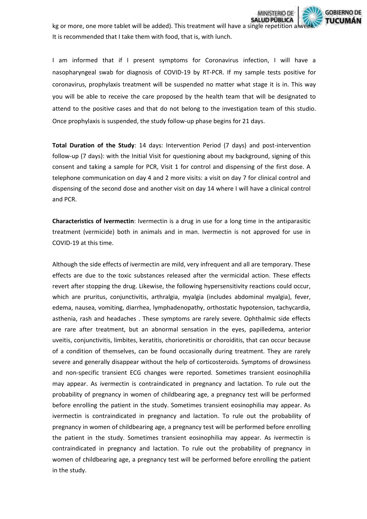

kg or more, one more tablet will be added). This treatment will have a single repetition a wee It is recommended that I take them with food, that is, with lunch.

I am informed that if I present symptoms for Coronavirus infection, I will have a nasopharyngeal swab for diagnosis of COVID-19 by RT-PCR. If my sample tests positive for coronavirus, prophylaxis treatment will be suspended no matter what stage it is in. This way you will be able to receive the care proposed by the health team that will be designated to attend to the positive cases and that do not belong to the investigation team of this studio. Once prophylaxis is suspended, the study follow-up phase begins for 21 days.

**Total Duration of the Study**: 14 days: Intervention Period (7 days) and post-intervention follow-up (7 days): with the Initial Visit for questioning about my background, signing of this consent and taking a sample for PCR, Visit 1 for control and dispensing of the first dose. A telephone communication on day 4 and 2 more visits: a visit on day 7 for clinical control and dispensing of the second dose and another visit on day 14 where I will have a clinical control and PCR.

**Characteristics of Ivermectin**: Ivermectin is a drug in use for a long time in the antiparasitic treatment (vermicide) both in animals and in man. Ivermectin is not approved for use in COVID-19 at this time.

Although the side effects of ivermectin are mild, very infrequent and all are temporary. These effects are due to the toxic substances released after the vermicidal action. These effects revert after stopping the drug. Likewise, the following hypersensitivity reactions could occur, which are pruritus, conjunctivitis, arthralgia, myalgia (includes abdominal myalgia), fever, edema, nausea, vomiting, diarrhea, lymphadenopathy, orthostatic hypotension, tachycardia, asthenia, rash and headaches . These symptoms are rarely severe. Ophthalmic side effects are rare after treatment, but an abnormal sensation in the eyes, papilledema, anterior uveitis, conjunctivitis, limbites, keratitis, chorioretinitis or choroiditis, that can occur because of a condition of themselves, can be found occasionally during treatment. They are rarely severe and generally disappear without the help of corticosteroids. Symptoms of drowsiness and non-specific transient ECG changes were reported. Sometimes transient eosinophilia may appear. As ivermectin is contraindicated in pregnancy and lactation. To rule out the probability of pregnancy in women of childbearing age, a pregnancy test will be performed before enrolling the patient in the study. Sometimes transient eosinophilia may appear. As ivermectin is contraindicated in pregnancy and lactation. To rule out the probability of pregnancy in women of childbearing age, a pregnancy test will be performed before enrolling the patient in the study. Sometimes transient eosinophilia may appear. As ivermectin is contraindicated in pregnancy and lactation. To rule out the probability of pregnancy in women of childbearing age, a pregnancy test will be performed before enrolling the patient in the study.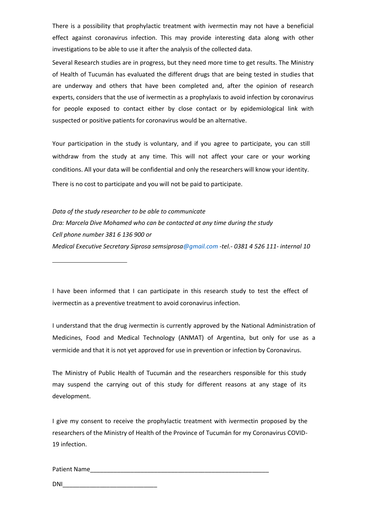There is a possibility that prophylactic treatment with ivermectin may not have a beneficial effect against coronavirus infection. This may provide interesting data along with other investigations to be able to use it after the analysis of the collected data.

Several Research studies are in progress, but they need more time to get results. The Ministry of Health of Tucumán has evaluated the different drugs that are being tested in studies that are underway and others that have been completed and, after the opinion of research experts, considers that the use of ivermectin as a prophylaxis to avoid infection by coronavirus for people exposed to contact either by close contact or by epidemiological link with suspected or positive patients for coronavirus would be an alternative.

Your participation in the study is voluntary, and if you agree to participate, you can still withdraw from the study at any time. This will not affect your care or your working conditions. All your data will be confidential and only the researchers will know your identity. There is no cost to participate and you will not be paid to participate.

*Data of the study researcher to be able to communicate Dra: Marcela Dive Mohamed who can be contacted at any time during the study Cell phone number 381 6 136 900 or Medical Executive Secretary Siprosa semsiprosa@gmail.com -tel.- 0381 4 526 111- internal 10*

I have been informed that I can participate in this research study to test the effect of ivermectin as a preventive treatment to avoid coronavirus infection.

I understand that the drug ivermectin is currently approved by the National Administration of Medicines, Food and Medical Technology (ANMAT) of Argentina, but only for use as a vermicide and that it is not yet approved for use in prevention or infection by Coronavirus.

The Ministry of Public Health of Tucumán and the researchers responsible for this study may suspend the carrying out of this study for different reasons at any stage of its development.

I give my consent to receive the prophylactic treatment with ivermectin proposed by the researchers of the Ministry of Health of the Province of Tucumán for my Coronavirus COVID-19 infection.

Patient Name

 $DNI$